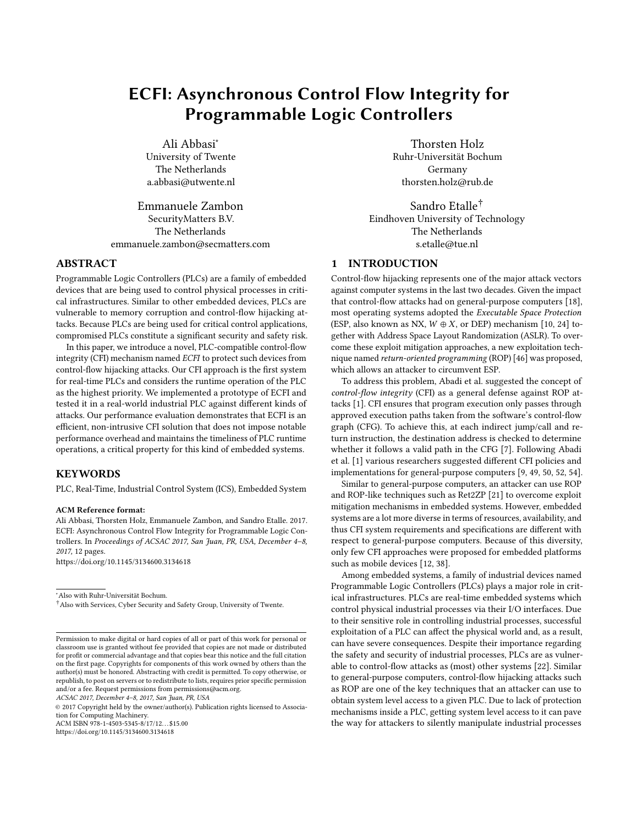# ECFI: Asynchronous Control Flow Integrity for Programmable Logic Controllers

Ali Abbasi<sup>∗</sup> University of Twente The Netherlands a.abbasi@utwente.nl

Emmanuele Zambon SecurityMatters B.V. The Netherlands emmanuele.zambon@secmatters.com

# ABSTRACT

Programmable Logic Controllers (PLCs) are a family of embedded devices that are being used to control physical processes in critical infrastructures. Similar to other embedded devices, PLCs are vulnerable to memory corruption and control-flow hijacking attacks. Because PLCs are being used for critical control applications, compromised PLCs constitute a significant security and safety risk.

In this paper, we introduce a novel, PLC-compatible control-flow integrity (CFI) mechanism named ECFI to protect such devices from control-flow hijacking attacks. Our CFI approach is the first system for real-time PLCs and considers the runtime operation of the PLC as the highest priority. We implemented a prototype of ECFI and tested it in a real-world industrial PLC against different kinds of attacks. Our performance evaluation demonstrates that ECFI is an efficient, non-intrusive CFI solution that does not impose notable performance overhead and maintains the timeliness of PLC runtime operations, a critical property for this kind of embedded systems.

# **KEYWORDS**

PLC, Real-Time, Industrial Control System (ICS), Embedded System

#### ACM Reference format:

Ali Abbasi, Thorsten Holz, Emmanuele Zambon, and Sandro Etalle. 2017. ECFI: Asynchronous Control Flow Integrity for Programmable Logic Controllers. In Proceedings of ACSAC 2017, San Juan, PR, USA, December 4–8, 2017, [12](#page-11-0) pages.

<https://doi.org/10.1145/3134600.3134618>

ACSAC 2017, December 4–8, 2017, San Juan, PR, USA

<https://doi.org/10.1145/3134600.3134618>

Thorsten Holz Ruhr-Universität Bochum Germany thorsten.holz@rub.de

Sandro Etalle† Eindhoven University of Technology The Netherlands s.etalle@tue.nl

# 1 INTRODUCTION

Control-flow hijacking represents one of the major attack vectors against computer systems in the last two decades. Given the impact that control-flow attacks had on general-purpose computers [\[18\]](#page-11-1), most operating systems adopted the Executable Space Protection (ESP, also known as NX,  $W \oplus X$ , or DEP) mechanism [\[10,](#page-11-2) [24\]](#page-11-3) together with Address Space Layout Randomization (ASLR). To overcome these exploit mitigation approaches, a new exploitation technique named return-oriented programming (ROP) [\[46\]](#page-11-4) was proposed, which allows an attacker to circumvent ESP.

To address this problem, Abadi et al. suggested the concept of control-flow integrity (CFI) as a general defense against ROP attacks [\[1\]](#page-10-0). CFI ensures that program execution only passes through approved execution paths taken from the software's control-flow graph (CFG). To achieve this, at each indirect jump/call and return instruction, the destination address is checked to determine whether it follows a valid path in the CFG [\[7\]](#page-11-5). Following Abadi et al. [\[1\]](#page-10-0) various researchers suggested different CFI policies and implementations for general-purpose computers [\[9,](#page-11-6) [49,](#page-11-7) [50,](#page-11-8) [52,](#page-11-9) [54\]](#page-11-10).

Similar to general-purpose computers, an attacker can use ROP and ROP-like techniques such as Ret2ZP [\[21\]](#page-11-11) to overcome exploit mitigation mechanisms in embedded systems. However, embedded systems are a lot more diverse in terms of resources, availability, and thus CFI system requirements and specifications are different with respect to general-purpose computers. Because of this diversity, only few CFI approaches were proposed for embedded platforms such as mobile devices [\[12,](#page-11-12) [38\]](#page-11-13).

Among embedded systems, a family of industrial devices named Programmable Logic Controllers (PLCs) plays a major role in critical infrastructures. PLCs are real-time embedded systems which control physical industrial processes via their I/O interfaces. Due to their sensitive role in controlling industrial processes, successful exploitation of a PLC can affect the physical world and, as a result, can have severe consequences. Despite their importance regarding the safety and security of industrial processes, PLCs are as vulnerable to control-flow attacks as (most) other systems [\[22\]](#page-11-14). Similar to general-purpose computers, control-flow hijacking attacks such as ROP are one of the key techniques that an attacker can use to obtain system level access to a given PLC. Due to lack of protection mechanisms inside a PLC, getting system level access to it can pave the way for attackers to silently manipulate industrial processes

<sup>∗</sup>Also with Ruhr-Universität Bochum.

<sup>†</sup>Also with Services, Cyber Security and Safety Group, University of Twente.

Permission to make digital or hard copies of all or part of this work for personal or classroom use is granted without fee provided that copies are not made or distributed for profit or commercial advantage and that copies bear this notice and the full citation on the first page. Copyrights for components of this work owned by others than the author(s) must be honored. Abstracting with credit is permitted. To copy otherwise, or republish, to post on servers or to redistribute to lists, requires prior specific permission and/or a fee. Request permissions from permissions@acm.org.

<sup>©</sup> 2017 Copyright held by the owner/author(s). Publication rights licensed to Association for Computing Machinery. ACM ISBN 978-1-4503-5345-8/17/12. . . \$15.00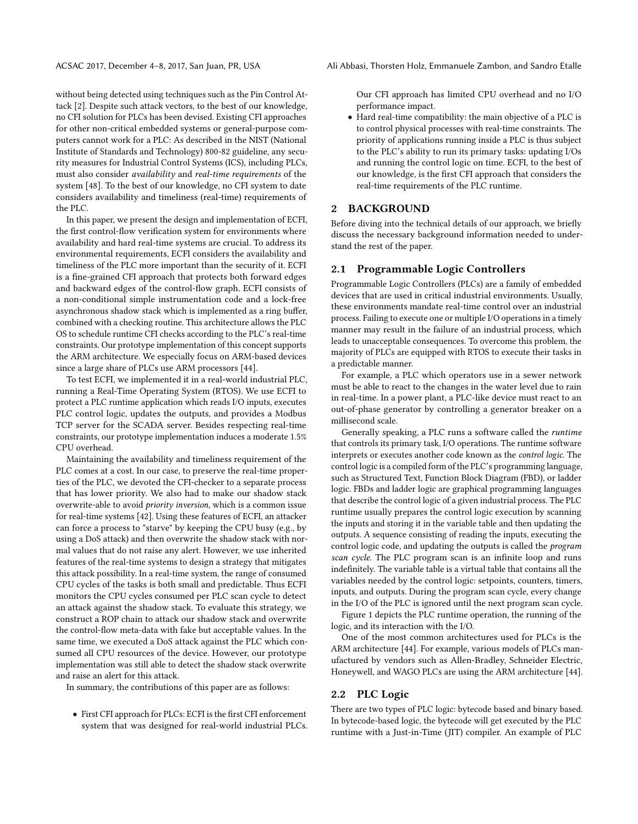without being detected using techniques such as the Pin Control Attack [\[2\]](#page-10-1). Despite such attack vectors, to the best of our knowledge, no CFI solution for PLCs has been devised. Existing CFI approaches for other non-critical embedded systems or general-purpose computers cannot work for a PLC: As described in the NIST (National Institute of Standards and Technology) 800-82 guideline, any security measures for Industrial Control Systems (ICS), including PLCs, must also consider availability and real-time requirements of the system [\[48\]](#page-11-15). To the best of our knowledge, no CFI system to date considers availability and timeliness (real-time) requirements of the PLC.

In this paper, we present the design and implementation of ECFI, the first control-flow verification system for environments where availability and hard real-time systems are crucial. To address its environmental requirements, ECFI considers the availability and timeliness of the PLC more important than the security of it. ECFI is a fine-grained CFI approach that protects both forward edges and backward edges of the control-flow graph. ECFI consists of a non-conditional simple instrumentation code and a lock-free asynchronous shadow stack which is implemented as a ring buffer, combined with a checking routine. This architecture allows the PLC OS to schedule runtime CFI checks according to the PLC's real-time constraints. Our prototype implementation of this concept supports the ARM architecture. We especially focus on ARM-based devices since a large share of PLCs use ARM processors [\[44\]](#page-11-16).

To test ECFI, we implemented it in a real-world industrial PLC, running a Real-Time Operating System (RTOS). We use ECFI to protect a PLC runtime application which reads I/O inputs, executes PLC control logic, updates the outputs, and provides a Modbus TCP server for the SCADA server. Besides respecting real-time constraints, our prototype implementation induces a moderate 1.5% CPU overhead.

Maintaining the availability and timeliness requirement of the PLC comes at a cost. In our case, to preserve the real-time properties of the PLC, we devoted the CFI-checker to a separate process that has lower priority. We also had to make our shadow stack overwrite-able to avoid priority inversion, which is a common issue for real-time systems [\[42\]](#page-11-17). Using these features of ECFI, an attacker can force a process to "starve" by keeping the CPU busy (e.g., by using a DoS attack) and then overwrite the shadow stack with normal values that do not raise any alert. However, we use inherited features of the real-time systems to design a strategy that mitigates this attack possibility. In a real-time system, the range of consumed CPU cycles of the tasks is both small and predictable. Thus ECFI monitors the CPU cycles consumed per PLC scan cycle to detect an attack against the shadow stack. To evaluate this strategy, we construct a ROP chain to attack our shadow stack and overwrite the control-flow meta-data with fake but acceptable values. In the same time, we executed a DoS attack against the PLC which consumed all CPU resources of the device. However, our prototype implementation was still able to detect the shadow stack overwrite and raise an alert for this attack.

In summary, the contributions of this paper are as follows:

• First CFI approach for PLCs: ECFI is the first CFI enforcement system that was designed for real-world industrial PLCs. Our CFI approach has limited CPU overhead and no I/O performance impact.

• Hard real-time compatibility: the main objective of a PLC is to control physical processes with real-time constraints. The priority of applications running inside a PLC is thus subject to the PLC's ability to run its primary tasks: updating I/Os and running the control logic on time. ECFI, to the best of our knowledge, is the first CFI approach that considers the real-time requirements of the PLC runtime.

### <span id="page-1-0"></span>2 BACKGROUND

Before diving into the technical details of our approach, we briefly discuss the necessary background information needed to understand the rest of the paper.

# 2.1 Programmable Logic Controllers

Programmable Logic Controllers (PLCs) are a family of embedded devices that are used in critical industrial environments. Usually, these environments mandate real-time control over an industrial process. Failing to execute one or multiple I/O operations in a timely manner may result in the failure of an industrial process, which leads to unacceptable consequences. To overcome this problem, the majority of PLCs are equipped with RTOS to execute their tasks in a predictable manner.

For example, a PLC which operators use in a sewer network must be able to react to the changes in the water level due to rain in real-time. In a power plant, a PLC-like device must react to an out-of-phase generator by controlling a generator breaker on a millisecond scale.

Generally speaking, a PLC runs a software called the runtime that controls its primary task, I/O operations. The runtime software interprets or executes another code known as the control logic. The control logic is a compiled form of the PLC's programming language, such as Structured Text, Function Block Diagram (FBD), or ladder logic. FBDs and ladder logic are graphical programming languages that describe the control logic of a given industrial process. The PLC runtime usually prepares the control logic execution by scanning the inputs and storing it in the variable table and then updating the outputs. A sequence consisting of reading the inputs, executing the control logic code, and updating the outputs is called the program scan cycle. The PLC program scan is an infinite loop and runs indefinitely. The variable table is a virtual table that contains all the variables needed by the control logic: setpoints, counters, timers, inputs, and outputs. During the program scan cycle, every change in the I/O of the PLC is ignored until the next program scan cycle.

Figure [1](#page-2-0) depicts the PLC runtime operation, the running of the logic, and its interaction with the I/O.

One of the most common architectures used for PLCs is the ARM architecture [\[44\]](#page-11-16). For example, various models of PLCs manufactured by vendors such as Allen-Bradley, Schneider Electric, Honeywell, and WAGO PLCs are using the ARM architecture [\[44\]](#page-11-16).

# 2.2 PLC Logic

There are two types of PLC logic: bytecode based and binary based. In bytecode-based logic, the bytecode will get executed by the PLC runtime with a Just-in-Time (JIT) compiler. An example of PLC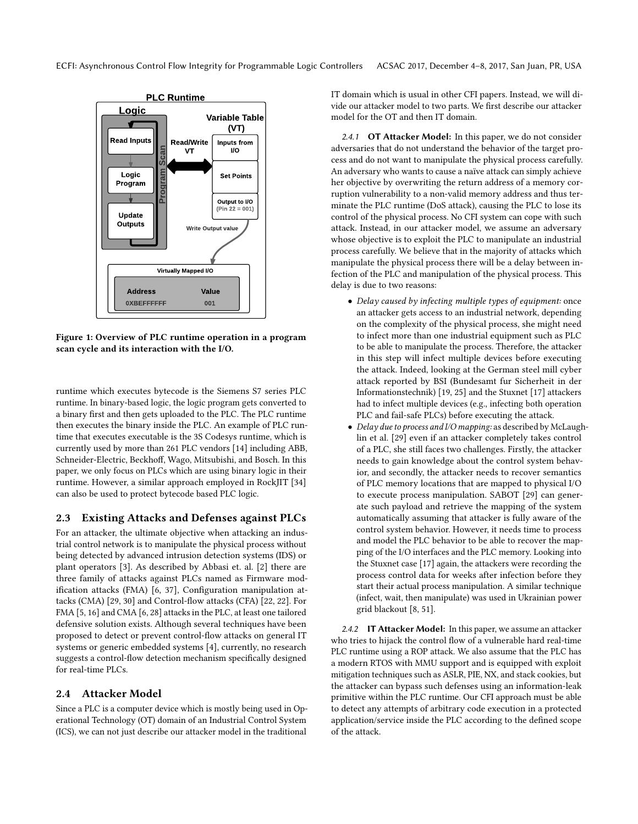<span id="page-2-0"></span>

Figure 1: Overview of PLC runtime operation in a program scan cycle and its interaction with the I/O.

runtime which executes bytecode is the Siemens S7 series PLC runtime. In binary-based logic, the logic program gets converted to a binary first and then gets uploaded to the PLC. The PLC runtime then executes the binary inside the PLC. An example of PLC runtime that executes executable is the 3S Codesys runtime, which is currently used by more than 261 PLC vendors [\[14\]](#page-11-18) including ABB, Schneider-Electric, Beckhoff, Wago, Mitsubishi, and Bosch. In this paper, we only focus on PLCs which are using binary logic in their runtime. However, a similar approach employed in RockJIT [\[34\]](#page-11-19) can also be used to protect bytecode based PLC logic.

# 2.3 Existing Attacks and Defenses against PLCs

For an attacker, the ultimate objective when attacking an industrial control network is to manipulate the physical process without being detected by advanced intrusion detection systems (IDS) or plant operators [\[3\]](#page-10-2). As described by Abbasi et. al. [\[2\]](#page-10-1) there are three family of attacks against PLCs named as Firmware modification attacks (FMA) [\[6,](#page-11-20) [37\]](#page-11-21), Configuration manipulation attacks (CMA) [\[29,](#page-11-22) [30\]](#page-11-23) and Control-flow attacks (CFA) [\[22,](#page-11-14) [22\]](#page-11-14). For FMA [\[5,](#page-10-3) [16\]](#page-11-24) and CMA [\[6,](#page-11-20) [28\]](#page-11-25) attacks in the PLC, at least one tailored defensive solution exists. Although several techniques have been proposed to detect or prevent control-flow attacks on general IT systems or generic embedded systems [\[4\]](#page-10-4), currently, no research suggests a control-flow detection mechanism specifically designed for real-time PLCs.

# 2.4 Attacker Model

Since a PLC is a computer device which is mostly being used in Operational Technology (OT) domain of an Industrial Control System (ICS), we can not just describe our attacker model in the traditional

IT domain which is usual in other CFI papers. Instead, we will divide our attacker model to two parts. We first describe our attacker model for the OT and then IT domain.

2.4.1 OT Attacker Model: In this paper, we do not consider adversaries that do not understand the behavior of the target process and do not want to manipulate the physical process carefully. An adversary who wants to cause a naïve attack can simply achieve her objective by overwriting the return address of a memory corruption vulnerability to a non-valid memory address and thus terminate the PLC runtime (DoS attack), causing the PLC to lose its control of the physical process. No CFI system can cope with such attack. Instead, in our attacker model, we assume an adversary whose objective is to exploit the PLC to manipulate an industrial process carefully. We believe that in the majority of attacks which manipulate the physical process there will be a delay between infection of the PLC and manipulation of the physical process. This delay is due to two reasons:

- Delay caused by infecting multiple types of equipment: once an attacker gets access to an industrial network, depending on the complexity of the physical process, she might need to infect more than one industrial equipment such as PLC to be able to manipulate the process. Therefore, the attacker in this step will infect multiple devices before executing the attack. Indeed, looking at the German steel mill cyber attack reported by BSI (Bundesamt fur Sicherheit in der Informationstechnik) [\[19,](#page-11-26) [25\]](#page-11-27) and the Stuxnet [\[17\]](#page-11-28) attackers had to infect multiple devices (e.g., infecting both operation PLC and fail-safe PLCs) before executing the attack.
- Delay due to process and I/O mapping: as described by McLaughlin et al. [\[29\]](#page-11-22) even if an attacker completely takes control of a PLC, she still faces two challenges. Firstly, the attacker needs to gain knowledge about the control system behavior, and secondly, the attacker needs to recover semantics of PLC memory locations that are mapped to physical I/O to execute process manipulation. SABOT [\[29\]](#page-11-22) can generate such payload and retrieve the mapping of the system automatically assuming that attacker is fully aware of the control system behavior. However, it needs time to process and model the PLC behavior to be able to recover the mapping of the I/O interfaces and the PLC memory. Looking into the Stuxnet case [\[17\]](#page-11-28) again, the attackers were recording the process control data for weeks after infection before they start their actual process manipulation. A similar technique (infect, wait, then manipulate) was used in Ukrainian power grid blackout [\[8,](#page-11-29) [51\]](#page-11-30).

2.4.2 IT Attacker Model: In this paper, we assume an attacker who tries to hijack the control flow of a vulnerable hard real-time PLC runtime using a ROP attack. We also assume that the PLC has a modern RTOS with MMU support and is equipped with exploit mitigation techniques such as ASLR, PIE, NX, and stack cookies, but the attacker can bypass such defenses using an information-leak primitive within the PLC runtime. Our CFI approach must be able to detect any attempts of arbitrary code execution in a protected application/service inside the PLC according to the defined scope of the attack.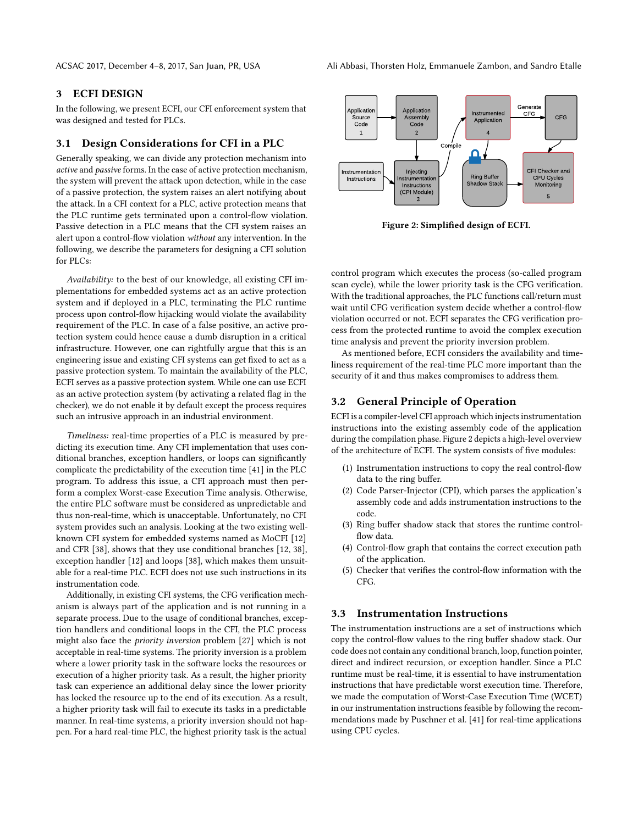# 3 ECFI DESIGN

In the following, we present ECFI, our CFI enforcement system that was designed and tested for PLCs.

# 3.1 Design Considerations for CFI in a PLC

Generally speaking, we can divide any protection mechanism into active and passive forms. In the case of active protection mechanism, the system will prevent the attack upon detection, while in the case of a passive protection, the system raises an alert notifying about the attack. In a CFI context for a PLC, active protection means that the PLC runtime gets terminated upon a control-flow violation. Passive detection in a PLC means that the CFI system raises an alert upon a control-flow violation without any intervention. In the following, we describe the parameters for designing a CFI solution for PLCs:

Availability: to the best of our knowledge, all existing CFI implementations for embedded systems act as an active protection system and if deployed in a PLC, terminating the PLC runtime process upon control-flow hijacking would violate the availability requirement of the PLC. In case of a false positive, an active protection system could hence cause a dumb disruption in a critical infrastructure. However, one can rightfully argue that this is an engineering issue and existing CFI systems can get fixed to act as a passive protection system. To maintain the availability of the PLC, ECFI serves as a passive protection system. While one can use ECFI as an active protection system (by activating a related flag in the checker), we do not enable it by default except the process requires such an intrusive approach in an industrial environment.

Timeliness: real-time properties of a PLC is measured by predicting its execution time. Any CFI implementation that uses conditional branches, exception handlers, or loops can significantly complicate the predictability of the execution time [\[41\]](#page-11-31) in the PLC program. To address this issue, a CFI approach must then perform a complex Worst-case Execution Time analysis. Otherwise, the entire PLC software must be considered as unpredictable and thus non-real-time, which is unacceptable. Unfortunately, no CFI system provides such an analysis. Looking at the two existing wellknown CFI system for embedded systems named as MoCFI [\[12\]](#page-11-12) and CFR [\[38\]](#page-11-13), shows that they use conditional branches [\[12,](#page-11-12) [38\]](#page-11-13), exception handler [\[12\]](#page-11-12) and loops [\[38\]](#page-11-13), which makes them unsuitable for a real-time PLC. ECFI does not use such instructions in its instrumentation code.

Additionally, in existing CFI systems, the CFG verification mechanism is always part of the application and is not running in a separate process. Due to the usage of conditional branches, exception handlers and conditional loops in the CFI, the PLC process might also face the priority inversion problem [\[27\]](#page-11-32) which is not acceptable in real-time systems. The priority inversion is a problem where a lower priority task in the software locks the resources or execution of a higher priority task. As a result, the higher priority task can experience an additional delay since the lower priority has locked the resource up to the end of its execution. As a result, a higher priority task will fail to execute its tasks in a predictable manner. In real-time systems, a priority inversion should not happen. For a hard real-time PLC, the highest priority task is the actual

<span id="page-3-0"></span>

Figure 2: Simplified design of ECFI.

control program which executes the process (so-called program scan cycle), while the lower priority task is the CFG verification. With the traditional approaches, the PLC functions call/return must wait until CFG verification system decide whether a control-flow violation occurred or not. ECFI separates the CFG verification process from the protected runtime to avoid the complex execution time analysis and prevent the priority inversion problem.

As mentioned before, ECFI considers the availability and timeliness requirement of the real-time PLC more important than the security of it and thus makes compromises to address them.

# 3.2 General Principle of Operation

ECFI is a compiler-level CFI approach which injects instrumentation instructions into the existing assembly code of the application during the compilation phase. Figure [2](#page-3-0) depicts a high-level overview of the architecture of ECFI. The system consists of five modules:

- (1) Instrumentation instructions to copy the real control-flow data to the ring buffer.
- (2) Code Parser-Injector (CPI), which parses the application's assembly code and adds instrumentation instructions to the code.
- (3) Ring buffer shadow stack that stores the runtime controlflow data.
- (4) Control-flow graph that contains the correct execution path of the application.
- (5) Checker that verifies the control-flow information with the CFG.

# 3.3 Instrumentation Instructions

The instrumentation instructions are a set of instructions which copy the control-flow values to the ring buffer shadow stack. Our code does not contain any conditional branch, loop, function pointer, direct and indirect recursion, or exception handler. Since a PLC runtime must be real-time, it is essential to have instrumentation instructions that have predictable worst execution time. Therefore, we made the computation of Worst-Case Execution Time (WCET) in our instrumentation instructions feasible by following the recommendations made by Puschner et al. [\[41\]](#page-11-31) for real-time applications using CPU cycles.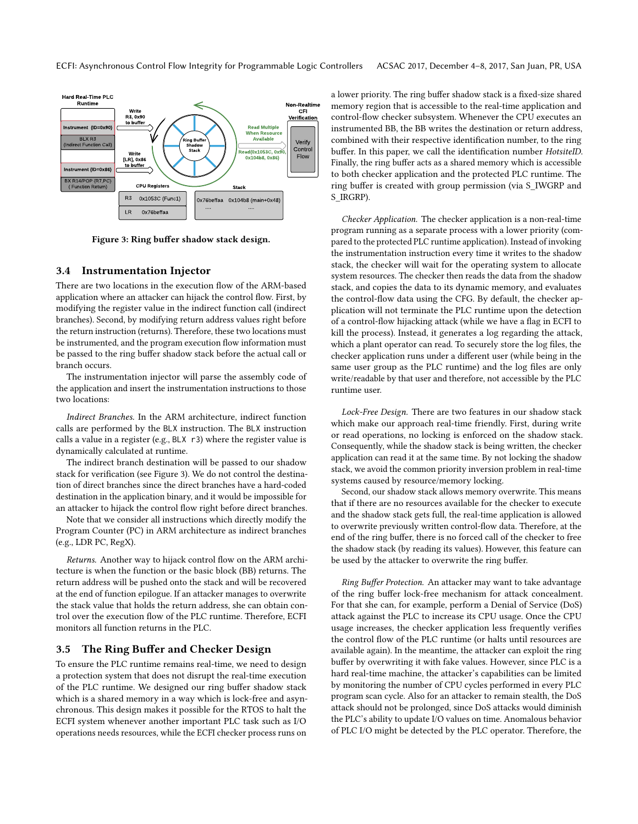<span id="page-4-0"></span>

Figure 3: Ring buffer shadow stack design.

#### 3.4 Instrumentation Injector

There are two locations in the execution flow of the ARM-based application where an attacker can hijack the control flow. First, by modifying the register value in the indirect function call (indirect branches). Second, by modifying return address values right before the return instruction (returns). Therefore, these two locations must be instrumented, and the program execution flow information must be passed to the ring buffer shadow stack before the actual call or branch occurs.

The instrumentation injector will parse the assembly code of the application and insert the instrumentation instructions to those two locations:

Indirect Branches. In the ARM architecture, indirect function calls are performed by the BLX instruction. The BLX instruction calls a value in a register (e.g.,  $BLX$  r3) where the register value is dynamically calculated at runtime.

The indirect branch destination will be passed to our shadow stack for verification (see Figure [3\)](#page-4-0). We do not control the destination of direct branches since the direct branches have a hard-coded destination in the application binary, and it would be impossible for an attacker to hijack the control flow right before direct branches.

Note that we consider all instructions which directly modify the Program Counter (PC) in ARM architecture as indirect branches (e.g., LDR PC, RegX).

Returns. Another way to hijack control flow on the ARM architecture is when the function or the basic block (BB) returns. The return address will be pushed onto the stack and will be recovered at the end of function epilogue. If an attacker manages to overwrite the stack value that holds the return address, she can obtain control over the execution flow of the PLC runtime. Therefore, ECFI monitors all function returns in the PLC.

## 3.5 The Ring Buffer and Checker Design

To ensure the PLC runtime remains real-time, we need to design a protection system that does not disrupt the real-time execution of the PLC runtime. We designed our ring buffer shadow stack which is a shared memory in a way which is lock-free and asynchronous. This design makes it possible for the RTOS to halt the ECFI system whenever another important PLC task such as I/O operations needs resources, while the ECFI checker process runs on

a lower priority. The ring buffer shadow stack is a fixed-size shared memory region that is accessible to the real-time application and control-flow checker subsystem. Whenever the CPU executes an instrumented BB, the BB writes the destination or return address, combined with their respective identification number, to the ring buffer. In this paper, we call the identification number HotsiteID. Finally, the ring buffer acts as a shared memory which is accessible to both checker application and the protected PLC runtime. The ring buffer is created with group permission (via S\_IWGRP and S\_IRGRP).

Checker Application. The checker application is a non-real-time program running as a separate process with a lower priority (compared to the protected PLC runtime application). Instead of invoking the instrumentation instruction every time it writes to the shadow stack, the checker will wait for the operating system to allocate system resources. The checker then reads the data from the shadow stack, and copies the data to its dynamic memory, and evaluates the control-flow data using the CFG. By default, the checker application will not terminate the PLC runtime upon the detection of a control-flow hijacking attack (while we have a flag in ECFI to kill the process). Instead, it generates a log regarding the attack, which a plant operator can read. To securely store the log files, the checker application runs under a different user (while being in the same user group as the PLC runtime) and the log files are only write/readable by that user and therefore, not accessible by the PLC runtime user.

Lock-Free Design. There are two features in our shadow stack which make our approach real-time friendly. First, during write or read operations, no locking is enforced on the shadow stack. Consequently, while the shadow stack is being written, the checker application can read it at the same time. By not locking the shadow stack, we avoid the common priority inversion problem in real-time systems caused by resource/memory locking.

Second, our shadow stack allows memory overwrite. This means that if there are no resources available for the checker to execute and the shadow stack gets full, the real-time application is allowed to overwrite previously written control-flow data. Therefore, at the end of the ring buffer, there is no forced call of the checker to free the shadow stack (by reading its values). However, this feature can be used by the attacker to overwrite the ring buffer.

Ring Buffer Protection. An attacker may want to take advantage of the ring buffer lock-free mechanism for attack concealment. For that she can, for example, perform a Denial of Service (DoS) attack against the PLC to increase its CPU usage. Once the CPU usage increases, the checker application less frequently verifies the control flow of the PLC runtime (or halts until resources are available again). In the meantime, the attacker can exploit the ring buffer by overwriting it with fake values. However, since PLC is a hard real-time machine, the attacker's capabilities can be limited by monitoring the number of CPU cycles performed in every PLC program scan cycle. Also for an attacker to remain stealth, the DoS attack should not be prolonged, since DoS attacks would diminish the PLC's ability to update I/O values on time. Anomalous behavior of PLC I/O might be detected by the PLC operator. Therefore, the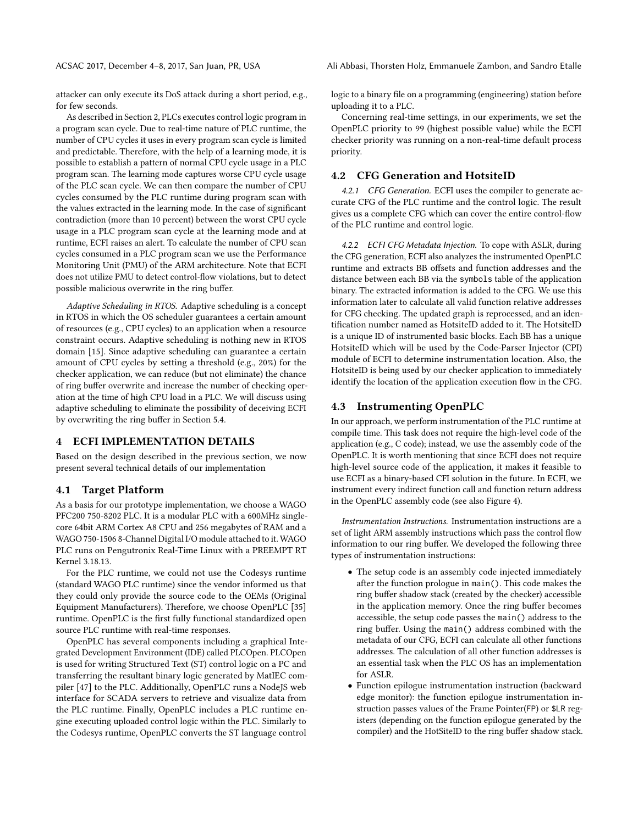attacker can only execute its DoS attack during a short period, e.g., for few seconds.

As described in Section [2,](#page-1-0) PLCs executes control logic program in a program scan cycle. Due to real-time nature of PLC runtime, the number of CPU cycles it uses in every program scan cycle is limited and predictable. Therefore, with the help of a learning mode, it is possible to establish a pattern of normal CPU cycle usage in a PLC program scan. The learning mode captures worse CPU cycle usage of the PLC scan cycle. We can then compare the number of CPU cycles consumed by the PLC runtime during program scan with the values extracted in the learning mode. In the case of significant contradiction (more than 10 percent) between the worst CPU cycle usage in a PLC program scan cycle at the learning mode and at runtime, ECFI raises an alert. To calculate the number of CPU scan cycles consumed in a PLC program scan we use the Performance Monitoring Unit (PMU) of the ARM architecture. Note that ECFI does not utilize PMU to detect control-flow violations, but to detect possible malicious overwrite in the ring buffer.

Adaptive Scheduling in RTOS. Adaptive scheduling is a concept in RTOS in which the OS scheduler guarantees a certain amount of resources (e.g., CPU cycles) to an application when a resource constraint occurs. Adaptive scheduling is nothing new in RTOS domain [\[15\]](#page-11-33). Since adaptive scheduling can guarantee a certain amount of CPU cycles by setting a threshold (e.g., 20%) for the checker application, we can reduce (but not eliminate) the chance of ring buffer overwrite and increase the number of checking operation at the time of high CPU load in a PLC. We will discuss using adaptive scheduling to eliminate the possibility of deceiving ECFI by overwriting the ring buffer in Section [5.4.](#page-9-0)

### 4 ECFI IMPLEMENTATION DETAILS

Based on the design described in the previous section, we now present several technical details of our implementation

# 4.1 Target Platform

As a basis for our prototype implementation, we choose a WAGO PFC200 750-8202 PLC. It is a modular PLC with a 600MHz singlecore 64bit ARM Cortex A8 CPU and 256 megabytes of RAM and a WAGO 750-1506 8-Channel Digital I/O module attached to it. WAGO PLC runs on Pengutronix Real-Time Linux with a PREEMPT RT Kernel 3.18.13.

For the PLC runtime, we could not use the Codesys runtime (standard WAGO PLC runtime) since the vendor informed us that they could only provide the source code to the OEMs (Original Equipment Manufacturers). Therefore, we choose OpenPLC [\[35\]](#page-11-34) runtime. OpenPLC is the first fully functional standardized open source PLC runtime with real-time responses.

OpenPLC has several components including a graphical Integrated Development Environment (IDE) called PLCOpen. PLCOpen is used for writing Structured Text (ST) control logic on a PC and transferring the resultant binary logic generated by MatIEC compiler [\[47\]](#page-11-35) to the PLC. Additionally, OpenPLC runs a NodeJS web interface for SCADA servers to retrieve and visualize data from the PLC runtime. Finally, OpenPLC includes a PLC runtime engine executing uploaded control logic within the PLC. Similarly to the Codesys runtime, OpenPLC converts the ST language control

logic to a binary file on a programming (engineering) station before uploading it to a PLC.

Concerning real-time settings, in our experiments, we set the OpenPLC priority to 99 (highest possible value) while the ECFI checker priority was running on a non-real-time default process priority.

#### 4.2 CFG Generation and HotsiteID

4.2.1 CFG Generation. ECFI uses the compiler to generate accurate CFG of the PLC runtime and the control logic. The result gives us a complete CFG which can cover the entire control-flow of the PLC runtime and control logic.

4.2.2 ECFI CFG Metadata Injection. To cope with ASLR, during the CFG generation, ECFI also analyzes the instrumented OpenPLC runtime and extracts BB offsets and function addresses and the distance between each BB via the symbols table of the application binary. The extracted information is added to the CFG. We use this information later to calculate all valid function relative addresses for CFG checking. The updated graph is reprocessed, and an identification number named as HotsiteID added to it. The HotsiteID is a unique ID of instrumented basic blocks. Each BB has a unique HotsiteID which will be used by the Code-Parser Injector (CPI) module of ECFI to determine instrumentation location. Also, the HotsiteID is being used by our checker application to immediately identify the location of the application execution flow in the CFG.

# 4.3 Instrumenting OpenPLC

In our approach, we perform instrumentation of the PLC runtime at compile time. This task does not require the high-level code of the application (e.g., C code); instead, we use the assembly code of the OpenPLC. It is worth mentioning that since ECFI does not require high-level source code of the application, it makes it feasible to use ECFI as a binary-based CFI solution in the future. In ECFI, we instrument every indirect function call and function return address in the OpenPLC assembly code (see also Figure [4\)](#page-6-0).

Instrumentation Instructions. Instrumentation instructions are a set of light ARM assembly instructions which pass the control flow information to our ring buffer. We developed the following three types of instrumentation instructions:

- The setup code is an assembly code injected immediately after the function prologue in main(). This code makes the ring buffer shadow stack (created by the checker) accessible in the application memory. Once the ring buffer becomes accessible, the setup code passes the main() address to the ring buffer. Using the main() address combined with the metadata of our CFG, ECFI can calculate all other functions addresses. The calculation of all other function addresses is an essential task when the PLC OS has an implementation for ASLR.
- Function epilogue instrumentation instruction (backward edge monitor): the function epilogue instrumentation instruction passes values of the Frame Pointer(FP) or \$LR registers (depending on the function epilogue generated by the compiler) and the HotSiteID to the ring buffer shadow stack.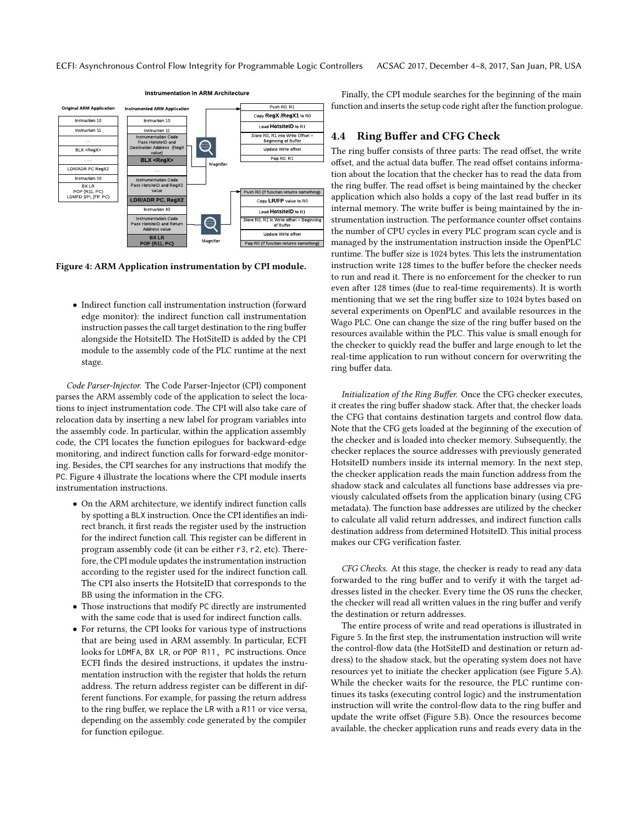<span id="page-6-0"></span>

Figure 4: ARM Application instrumentation by CPI module.

• Indirect function call instrumentation instruction (forward edge monitor): the indirect function call instrumentation instruction passes the call target destination to the ring buffer alongside the HotsiteID. The HotSiteID is added by the CPI module to the assembly code of the PLC runtime at the next stage.

Code Parser-Injector. The Code Parser-Injector (CPI) component parses the ARM assembly code of the application to select the locations to inject instrumentation code. The CPI will also take care of relocation data by inserting a new label for program variables into the assembly code. In particular, within the application assembly code, the CPI locates the function epilogues for backward-edge monitoring, and indirect function calls for forward-edge monitoring. Besides, the CPI searches for any instructions that modify the PC. Figure [4](#page-6-0) illustrate the locations where the CPI module inserts instrumentation instructions.

- On the ARM architecture, we identify indirect function calls by spotting a BLX instruction. Once the CPI identifies an indirect branch, it first reads the register used by the instruction for the indirect function call. This register can be different in program assembly code (it can be either r3, r2, etc). Therefore, the CPI module updates the instrumentation instruction according to the register used for the indirect function call. The CPI also inserts the HotsiteID that corresponds to the BB using the information in the CFG.
- Those instructions that modify PC directly are instrumented with the same code that is used for indirect function calls.
- For returns, the CPI looks for various type of instructions that are being used in ARM assembly. In particular, ECFI looks for LDMFA, BX LR, or POP R11, PC instructions. Once ECFI finds the desired instructions, it updates the instrumentation instruction with the register that holds the return address. The return address register can be different in different functions. For example, for passing the return address to the ring buffer, we replace the LR with a R11 or vice versa, depending on the assembly code generated by the compiler for function epilogue.

Finally, the CPI module searches for the beginning of the main function and inserts the setup code right after the function prologue.

#### 4.4 Ring Buffer and CFG Check

The ring buffer consists of three parts: The read offset, the write offset, and the actual data buffer. The read offset contains information about the location that the checker has to read the data from the ring buffer. The read offset is being maintained by the checker application which also holds a copy of the last read buffer in its internal memory. The write buffer is being maintained by the instrumentation instruction. The performance counter offset contains the number of CPU cycles in every PLC program scan cycle and is managed by the instrumentation instruction inside the OpenPLC runtime. The buffer size is 1024 bytes. This lets the instrumentation instruction write 128 times to the buffer before the checker needs to run and read it. There is no enforcement for the checker to run even after 128 times (due to real-time requirements). It is worth mentioning that we set the ring buffer size to 1024 bytes based on several experiments on OpenPLC and available resources in the Wago PLC. One can change the size of the ring buffer based on the resources available within the PLC. This value is small enough for the checker to quickly read the buffer and large enough to let the real-time application to run without concern for overwriting the ring buffer data.

Initialization of the Ring Buffer. Once the CFG checker executes, it creates the ring buffer shadow stack. After that, the checker loads the CFG that contains destination targets and control flow data. Note that the CFG gets loaded at the beginning of the execution of the checker and is loaded into checker memory. Subsequently, the checker replaces the source addresses with previously generated HotsiteID numbers inside its internal memory. In the next step, the checker application reads the main function address from the shadow stack and calculates all functions base addresses via previously calculated offsets from the application binary (using CFG metadata). The function base addresses are utilized by the checker to calculate all valid return addresses, and indirect function calls destination address from determined HotsiteID. This initial process makes our CFG verification faster.

CFG Checks. At this stage, the checker is ready to read any data forwarded to the ring buffer and to verify it with the target addresses listed in the checker. Every time the OS runs the checker, the checker will read all written values in the ring buffer and verify the destination or return addresses.

The entire process of write and read operations is illustrated in Figure [5.](#page-8-0) In the first step, the instrumentation instruction will write the control-flow data (the HotSiteID and destination or return address) to the shadow stack, but the operating system does not have resources yet to initiate the checker application (see Figure [5.](#page-8-0)A). While the checker waits for the resource, the PLC runtime continues its tasks (executing control logic) and the instrumentation instruction will write the control-flow data to the ring buffer and update the write offset (Figure [5.](#page-8-0)B). Once the resources become available, the checker application runs and reads every data in the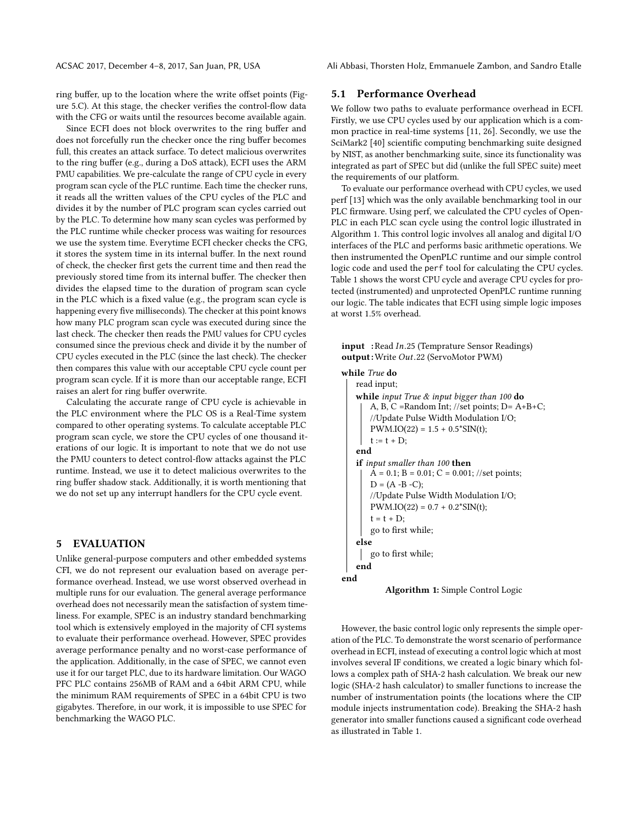ring buffer, up to the location where the write offset points (Figure [5.](#page-8-0)C). At this stage, the checker verifies the control-flow data with the CFG or waits until the resources become available again.

Since ECFI does not block overwrites to the ring buffer and does not forcefully run the checker once the ring buffer becomes full, this creates an attack surface. To detect malicious overwrites to the ring buffer (e.g., during a DoS attack), ECFI uses the ARM PMU capabilities. We pre-calculate the range of CPU cycle in every program scan cycle of the PLC runtime. Each time the checker runs, it reads all the written values of the CPU cycles of the PLC and divides it by the number of PLC program scan cycles carried out by the PLC. To determine how many scan cycles was performed by the PLC runtime while checker process was waiting for resources we use the system time. Everytime ECFI checker checks the CFG, it stores the system time in its internal buffer. In the next round of check, the checker first gets the current time and then read the previously stored time from its internal buffer. The checker then divides the elapsed time to the duration of program scan cycle in the PLC which is a fixed value (e.g., the program scan cycle is happening every five milliseconds). The checker at this point knows how many PLC program scan cycle was executed during since the last check. The checker then reads the PMU values for CPU cycles consumed since the previous check and divide it by the number of CPU cycles executed in the PLC (since the last check). The checker then compares this value with our acceptable CPU cycle count per program scan cycle. If it is more than our acceptable range, ECFI raises an alert for ring buffer overwrite.

Calculating the accurate range of CPU cycle is achievable in the PLC environment where the PLC OS is a Real-Time system compared to other operating systems. To calculate acceptable PLC program scan cycle, we store the CPU cycles of one thousand iterations of our logic. It is important to note that we do not use the PMU counters to detect control-flow attacks against the PLC runtime. Instead, we use it to detect malicious overwrites to the ring buffer shadow stack. Additionally, it is worth mentioning that we do not set up any interrupt handlers for the CPU cycle event.

# 5 EVALUATION

Unlike general-purpose computers and other embedded systems CFI, we do not represent our evaluation based on average performance overhead. Instead, we use worst observed overhead in multiple runs for our evaluation. The general average performance overhead does not necessarily mean the satisfaction of system timeliness. For example, SPEC is an industry standard benchmarking tool which is extensively employed in the majority of CFI systems to evaluate their performance overhead. However, SPEC provides average performance penalty and no worst-case performance of the application. Additionally, in the case of SPEC, we cannot even use it for our target PLC, due to its hardware limitation. Our WAGO PFC PLC contains 256MB of RAM and a 64bit ARM CPU, while the minimum RAM requirements of SPEC in a 64bit CPU is two gigabytes. Therefore, in our work, it is impossible to use SPEC for benchmarking the WAGO PLC.

# 5.1 Performance Overhead

We follow two paths to evaluate performance overhead in ECFI. Firstly, we use CPU cycles used by our application which is a common practice in real-time systems [\[11,](#page-11-36) [26\]](#page-11-37). Secondly, we use the SciMark2 [\[40\]](#page-11-38) scientific computing benchmarking suite designed by NIST, as another benchmarking suite, since its functionality was integrated as part of SPEC but did (unlike the full SPEC suite) meet the requirements of our platform.

To evaluate our performance overhead with CPU cycles, we used perf [\[13\]](#page-11-39) which was the only available benchmarking tool in our PLC firmware. Using perf, we calculated the CPU cycles of Open-PLC in each PLC scan cycle using the control logic illustrated in Algorithm [1.](#page-7-0) This control logic involves all analog and digital I/O interfaces of the PLC and performs basic arithmetic operations. We then instrumented the OpenPLC runtime and our simple control logic code and used the perf tool for calculating the CPU cycles. Table [1](#page-9-1) shows the worst CPU cycle and average CPU cycles for protected (instrumented) and unprotected OpenPLC runtime running our logic. The table indicates that ECFI using simple logic imposes at worst 1.5% overhead.

```
input :Read In.25 (Temprature Sensor Readings)
output :Write Out.22 (ServoMotor PWM)
```

```
while True do
   read input;
   while input True \& input bigger than 100 do
       A, B, C = Random Int; //set points; D= A+B+C;
       //Update Pulse Width Modulation I/O;
       PWM.IO(22) = 1.5 + 0.5*SIN(t);t := t + D;end
    if input smaller than 100 then
       \overline{A} = 0.1; B = 0.01; C = 0.001; //set points;
       D = (A - B - C);//Update Pulse Width Modulation I/O;
       PWM.IO(22) = 0.7 + 0.2*SIN(t);t = t + D;
       go to first while;
    else
       go to first while;
   end
end
```


<span id="page-7-0"></span>However, the basic control logic only represents the simple operation of the PLC. To demonstrate the worst scenario of performance overhead in ECFI, instead of executing a control logic which at most involves several IF conditions, we created a logic binary which follows a complex path of SHA-2 hash calculation. We break our new logic (SHA-2 hash calculator) to smaller functions to increase the number of instrumentation points (the locations where the CIP module injects instrumentation code). Breaking the SHA-2 hash generator into smaller functions caused a significant code overhead as illustrated in Table [1.](#page-9-1)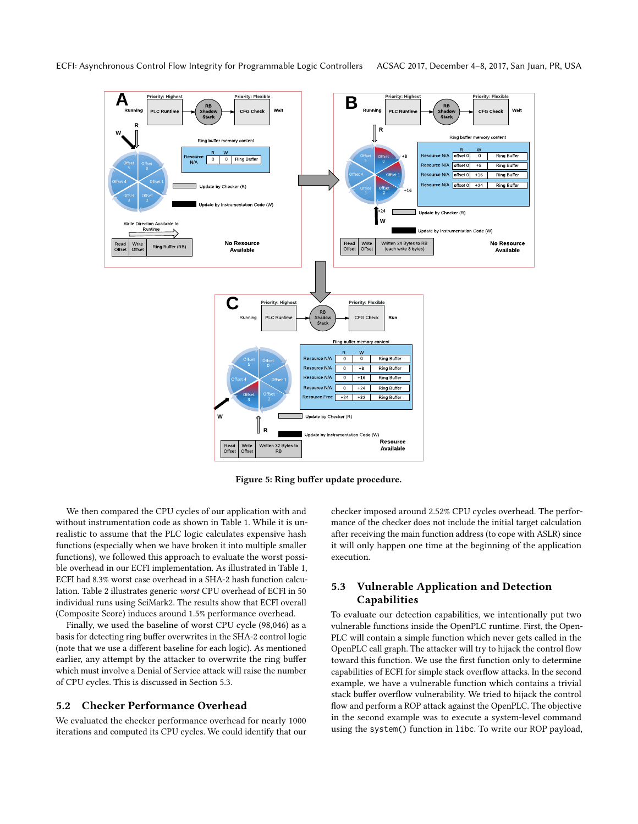<span id="page-8-0"></span>

Figure 5: Ring buffer update procedure.

We then compared the CPU cycles of our application with and without instrumentation code as shown in Table [1.](#page-9-1) While it is unrealistic to assume that the PLC logic calculates expensive hash functions (especially when we have broken it into multiple smaller functions), we followed this approach to evaluate the worst possible overhead in our ECFI implementation. As illustrated in Table [1,](#page-9-1) ECFI had 8.3% worst case overhead in a SHA-2 hash function calculation. Table [2](#page-9-2) illustrates generic worst CPU overhead of ECFI in 50 individual runs using SciMark2. The results show that ECFI overall (Composite Score) induces around 1.5% performance overhead.

Finally, we used the baseline of worst CPU cycle (98,046) as a basis for detecting ring buffer overwrites in the SHA-2 control logic (note that we use a different baseline for each logic). As mentioned earlier, any attempt by the attacker to overwrite the ring buffer which must involve a Denial of Service attack will raise the number of CPU cycles. This is discussed in Section [5.3.](#page-8-1)

#### 5.2 Checker Performance Overhead

We evaluated the checker performance overhead for nearly 1000 iterations and computed its CPU cycles. We could identify that our checker imposed around 2.52% CPU cycles overhead. The performance of the checker does not include the initial target calculation after receiving the main function address (to cope with ASLR) since it will only happen one time at the beginning of the application execution.

# <span id="page-8-1"></span>5.3 Vulnerable Application and Detection Capabilities

To evaluate our detection capabilities, we intentionally put two vulnerable functions inside the OpenPLC runtime. First, the Open-PLC will contain a simple function which never gets called in the OpenPLC call graph. The attacker will try to hijack the control flow toward this function. We use the first function only to determine capabilities of ECFI for simple stack overflow attacks. In the second example, we have a vulnerable function which contains a trivial stack buffer overflow vulnerability. We tried to hijack the control flow and perform a ROP attack against the OpenPLC. The objective in the second example was to execute a system-level command using the system() function in libc. To write our ROP payload,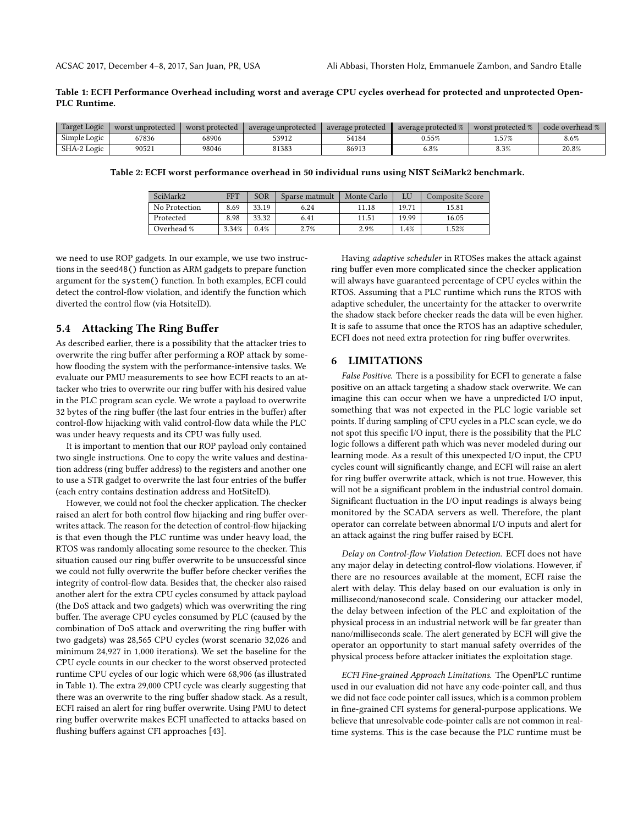#### <span id="page-9-1"></span>Table 1: ECFI Performance Overhead including worst and average CPU cycles overhead for protected and unprotected Open-PLC Runtime.

<span id="page-9-2"></span>

| Target Logic | worst unprotected | worst protected | average unprotected | average protected | average protected % | worst protected % | code overhead % |
|--------------|-------------------|-----------------|---------------------|-------------------|---------------------|-------------------|-----------------|
| Simple Logic | 57836             | 68906           | 53912               | 54184             | 0.55%               | 1.57%             | 8.6%            |
| SHA-2 Logic  | 90521             | 98046           | 81383               | 86913             | 5.8%                | 8.3%              | 20.8%           |

Table 2: ECFI worst performance overhead in 50 individual runs using NIST SciMark2 benchmark.

| SciMark2      | <b>FFT</b> | SOR   | Sparse matmult | Monte Carlo |       | Composite Score |
|---------------|------------|-------|----------------|-------------|-------|-----------------|
| No Protection | 8.69       | 33.19 | 6.24           | 11.18       | 19.71 | 15.81           |
| Protected     | 8.98       | 33.32 | 6.41           | 11.51       | 19.99 | 16.05           |
| Overhead %    | 3.34%      | 0.4%  | 2.7%           | 2.9%        | 1.4%  | $1.52\%$        |

we need to use ROP gadgets. In our example, we use two instructions in the seed48() function as ARM gadgets to prepare function argument for the system() function. In both examples, ECFI could detect the control-flow violation, and identify the function which diverted the control flow (via HotsiteID).

# <span id="page-9-0"></span>5.4 Attacking The Ring Buffer

As described earlier, there is a possibility that the attacker tries to overwrite the ring buffer after performing a ROP attack by somehow flooding the system with the performance-intensive tasks. We evaluate our PMU measurements to see how ECFI reacts to an attacker who tries to overwrite our ring buffer with his desired value in the PLC program scan cycle. We wrote a payload to overwrite 32 bytes of the ring buffer (the last four entries in the buffer) after control-flow hijacking with valid control-flow data while the PLC was under heavy requests and its CPU was fully used.

It is important to mention that our ROP payload only contained two single instructions. One to copy the write values and destination address (ring buffer address) to the registers and another one to use a STR gadget to overwrite the last four entries of the buffer (each entry contains destination address and HotSiteID).

However, we could not fool the checker application. The checker raised an alert for both control flow hijacking and ring buffer overwrites attack. The reason for the detection of control-flow hijacking is that even though the PLC runtime was under heavy load, the RTOS was randomly allocating some resource to the checker. This situation caused our ring buffer overwrite to be unsuccessful since we could not fully overwrite the buffer before checker verifies the integrity of control-flow data. Besides that, the checker also raised another alert for the extra CPU cycles consumed by attack payload (the DoS attack and two gadgets) which was overwriting the ring buffer. The average CPU cycles consumed by PLC (caused by the combination of DoS attack and overwriting the ring buffer with two gadgets) was 28,565 CPU cycles (worst scenario 32,026 and minimum 24,927 in 1,000 iterations). We set the baseline for the CPU cycle counts in our checker to the worst observed protected runtime CPU cycles of our logic which were 68,906 (as illustrated in Table [1\)](#page-9-1). The extra 29,000 CPU cycle was clearly suggesting that there was an overwrite to the ring buffer shadow stack. As a result, ECFI raised an alert for ring buffer overwrite. Using PMU to detect ring buffer overwrite makes ECFI unaffected to attacks based on flushing buffers against CFI approaches [\[43\]](#page-11-40).

Having adaptive scheduler in RTOSes makes the attack against ring buffer even more complicated since the checker application will always have guaranteed percentage of CPU cycles within the RTOS. Assuming that a PLC runtime which runs the RTOS with adaptive scheduler, the uncertainty for the attacker to overwrite the shadow stack before checker reads the data will be even higher. It is safe to assume that once the RTOS has an adaptive scheduler, ECFI does not need extra protection for ring buffer overwrites.

# 6 LIMITATIONS

False Positive. There is a possibility for ECFI to generate a false positive on an attack targeting a shadow stack overwrite. We can imagine this can occur when we have a unpredicted I/O input, something that was not expected in the PLC logic variable set points. If during sampling of CPU cycles in a PLC scan cycle, we do not spot this specific I/O input, there is the possibility that the PLC logic follows a different path which was never modeled during our learning mode. As a result of this unexpected I/O input, the CPU cycles count will significantly change, and ECFI will raise an alert for ring buffer overwrite attack, which is not true. However, this will not be a significant problem in the industrial control domain. Significant fluctuation in the I/O input readings is always being monitored by the SCADA servers as well. Therefore, the plant operator can correlate between abnormal I/O inputs and alert for an attack against the ring buffer raised by ECFI.

Delay on Control-flow Violation Detection. ECFI does not have any major delay in detecting control-flow violations. However, if there are no resources available at the moment, ECFI raise the alert with delay. This delay based on our evaluation is only in millisecond/nanosecond scale. Considering our attacker model, the delay between infection of the PLC and exploitation of the physical process in an industrial network will be far greater than nano/milliseconds scale. The alert generated by ECFI will give the operator an opportunity to start manual safety overrides of the physical process before attacker initiates the exploitation stage.

ECFI Fine-grained Approach Limitations. The OpenPLC runtime used in our evaluation did not have any code-pointer call, and thus we did not face code pointer call issues, which is a common problem in fine-grained CFI systems for general-purpose applications. We believe that unresolvable code-pointer calls are not common in realtime systems. This is the case because the PLC runtime must be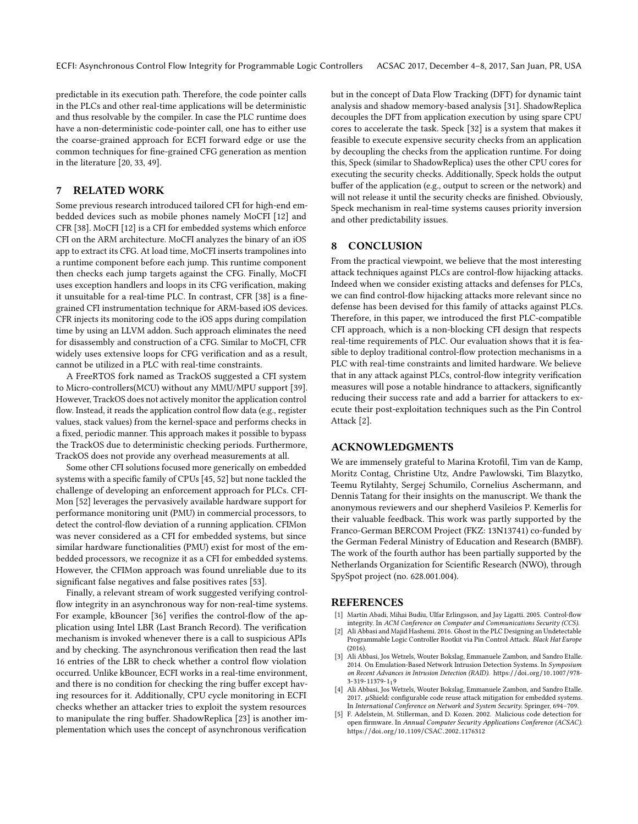ECFI: Asynchronous Control Flow Integrity for Programmable Logic Controllers ACSAC 2017, December 4–8, 2017, San Juan, PR, USA

predictable in its execution path. Therefore, the code pointer calls in the PLCs and other real-time applications will be deterministic and thus resolvable by the compiler. In case the PLC runtime does have a non-deterministic code-pointer call, one has to either use the coarse-grained approach for ECFI forward edge or use the common techniques for fine-grained CFG generation as mention in the literature [\[20,](#page-11-41) [33,](#page-11-42) [49\]](#page-11-7).

# 7 RELATED WORK

Some previous research introduced tailored CFI for high-end embedded devices such as mobile phones namely MoCFI [\[12\]](#page-11-12) and CFR [\[38\]](#page-11-13). MoCFI [\[12\]](#page-11-12) is a CFI for embedded systems which enforce CFI on the ARM architecture. MoCFI analyzes the binary of an iOS app to extract its CFG. At load time, MoCFI inserts trampolines into a runtime component before each jump. This runtime component then checks each jump targets against the CFG. Finally, MoCFI uses exception handlers and loops in its CFG verification, making it unsuitable for a real-time PLC. In contrast, CFR [\[38\]](#page-11-13) is a finegrained CFI instrumentation technique for ARM-based iOS devices. CFR injects its monitoring code to the iOS apps during compilation time by using an LLVM addon. Such approach eliminates the need for disassembly and construction of a CFG. Similar to MoCFI, CFR widely uses extensive loops for CFG verification and as a result, cannot be utilized in a PLC with real-time constraints.

A FreeRTOS fork named as TrackOS suggested a CFI system to Micro-controllers(MCU) without any MMU/MPU support [\[39\]](#page-11-43). However, TrackOS does not actively monitor the application control flow. Instead, it reads the application control flow data (e.g., register values, stack values) from the kernel-space and performs checks in a fixed, periodic manner. This approach makes it possible to bypass the TrackOS due to deterministic checking periods. Furthermore, TrackOS does not provide any overhead measurements at all.

Some other CFI solutions focused more generically on embedded systems with a specific family of CPUs [\[45,](#page-11-44) [52\]](#page-11-9) but none tackled the challenge of developing an enforcement approach for PLCs. CFI-Mon [\[52\]](#page-11-9) leverages the pervasively available hardware support for performance monitoring unit (PMU) in commercial processors, to detect the control-flow deviation of a running application. CFIMon was never considered as a CFI for embedded systems, but since similar hardware functionalities (PMU) exist for most of the embedded processors, we recognize it as a CFI for embedded systems. However, the CFIMon approach was found unreliable due to its significant false negatives and false positives rates [\[53\]](#page-11-45).

Finally, a relevant stream of work suggested verifying controlflow integrity in an asynchronous way for non-real-time systems. For example, kBouncer [\[36\]](#page-11-46) verifies the control-flow of the application using Intel LBR (Last Branch Record). The verification mechanism is invoked whenever there is a call to suspicious APIs and by checking. The asynchronous verification then read the last 16 entries of the LBR to check whether a control flow violation occurred. Unlike kBouncer, ECFI works in a real-time environment, and there is no condition for checking the ring buffer except having resources for it. Additionally, CPU cycle monitoring in ECFI checks whether an attacker tries to exploit the system resources to manipulate the ring buffer. ShadowReplica [\[23\]](#page-11-47) is another implementation which uses the concept of asynchronous verification

but in the concept of Data Flow Tracking (DFT) for dynamic taint analysis and shadow memory-based analysis [\[31\]](#page-11-48). ShadowReplica decouples the DFT from application execution by using spare CPU cores to accelerate the task. Speck [\[32\]](#page-11-49) is a system that makes it feasible to execute expensive security checks from an application by decoupling the checks from the application runtime. For doing this, Speck (similar to ShadowReplica) uses the other CPU cores for executing the security checks. Additionally, Speck holds the output buffer of the application (e.g., output to screen or the network) and will not release it until the security checks are finished. Obviously, Speck mechanism in real-time systems causes priority inversion and other predictability issues.

# 8 CONCLUSION

From the practical viewpoint, we believe that the most interesting attack techniques against PLCs are control-flow hijacking attacks. Indeed when we consider existing attacks and defenses for PLCs, we can find control-flow hijacking attacks more relevant since no defense has been devised for this family of attacks against PLCs. Therefore, in this paper, we introduced the first PLC-compatible CFI approach, which is a non-blocking CFI design that respects real-time requirements of PLC. Our evaluation shows that it is feasible to deploy traditional control-flow protection mechanisms in a PLC with real-time constraints and limited hardware. We believe that in any attack against PLCs, control-flow integrity verification measures will pose a notable hindrance to attackers, significantly reducing their success rate and add a barrier for attackers to execute their post-exploitation techniques such as the Pin Control Attack [\[2\]](#page-10-1).

#### ACKNOWLEDGMENTS

We are immensely grateful to Marina Krotofil, Tim van de Kamp, Moritz Contag, Christine Utz, Andre Pawlowski, Tim Blazytko, Teemu Rytilahty, Sergej Schumilo, Cornelius Aschermann, and Dennis Tatang for their insights on the manuscript. We thank the anonymous reviewers and our shepherd Vasileios P. Kemerlis for their valuable feedback. This work was partly supported by the Franco-German BERCOM Project (FKZ: 13N13741) co-funded by the German Federal Ministry of Education and Research (BMBF). The work of the fourth author has been partially supported by the Netherlands Organization for Scientific Research (NWO), through SpySpot project (no. 628.001.004).

#### REFERENCES

- <span id="page-10-0"></span>[1] Martín Abadi, Mihai Budiu, Ulfar Erlingsson, and Jay Ligatti. 2005. Control-flow integrity. In ACM Conference on Computer and Communications Security (CCS).
- <span id="page-10-1"></span>Ali Abbasi and Majid Hashemi. 2016. Ghost in the PLC Designing an Undetectable Programmable Logic Controller Rootkit via Pin Control Attack. Black Hat Europe (2016).
- <span id="page-10-2"></span>[3] Ali Abbasi, Jos Wetzels, Wouter Bokslag, Emmanuele Zambon, and Sandro Etalle. 2014. On Emulation-Based Network Intrusion Detection Systems. In Symposium on Recent Advances in Intrusion Detection (RAID). [https:](https://doi.org/10.1007/978-3-319-11379-1_19)//doi.org/10.1007/978- [3-319-11379-1](https://doi.org/10.1007/978-3-319-11379-1_19)19
- <span id="page-10-4"></span>[4] Ali Abbasi, Jos Wetzels, Wouter Bokslag, Emmanuele Zambon, and Sandro Etalle. 2017.  $\mu$ Shield: configurable code reuse attack mitigation for embedded systems. In International Conference on Network and System Security. Springer, 694–709.
- <span id="page-10-3"></span>[5] F. Adelstein, M. Stillerman, and D. Kozen. 2002. Malicious code detection for open firmware. In Annual Computer Security Applications Conference (ACSAC). https://doi.org/10.1109/CSAC.2002.[1176312](https://doi.org/10.1109/CSAC.2002.1176312)